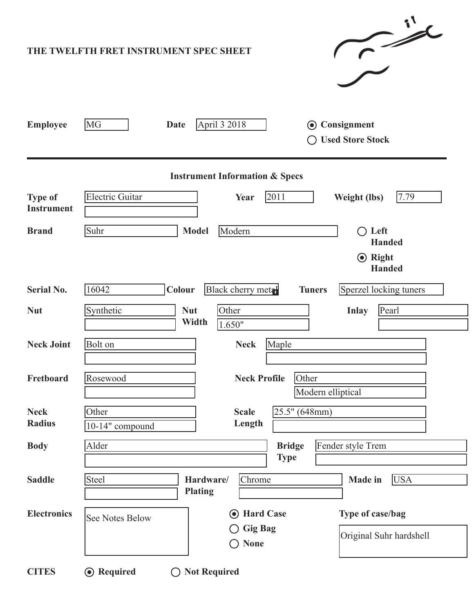| $\rightarrow$<br>THE TWELFTH FRET INSTRUMENT SPEC SHEET |                                                                                                                                       |  |  |  |  |  |  |  |
|---------------------------------------------------------|---------------------------------------------------------------------------------------------------------------------------------------|--|--|--|--|--|--|--|
| <b>Employee</b>                                         | MG<br>April 3 2018<br>Consignment<br><b>Date</b><br>$\odot$<br><b>Used Store Stock</b>                                                |  |  |  |  |  |  |  |
| <b>Instrument Information &amp; Specs</b>               |                                                                                                                                       |  |  |  |  |  |  |  |
| <b>Type of</b><br><b>Instrument</b>                     | 7.79<br><b>Electric Guitar</b><br>2011<br>Year<br>Weight (lbs)                                                                        |  |  |  |  |  |  |  |
| <b>Brand</b>                                            | Suhr<br><b>Model</b><br>Modern<br>$\bigcirc$ Left<br><b>Handed</b><br>$\odot$ Right<br><b>Handed</b>                                  |  |  |  |  |  |  |  |
| <b>Serial No.</b>                                       | Black cherry metal<br>Sperzel locking tuners<br>16042<br>Colour<br><b>Tuners</b>                                                      |  |  |  |  |  |  |  |
| <b>Nut</b>                                              | Synthetic<br><b>Nut</b><br>Pearl<br>Other<br><b>Inlay</b><br>Width<br>1.650"                                                          |  |  |  |  |  |  |  |
| <b>Neck Joint</b>                                       | <b>Bolt</b> on<br>Maple<br><b>Neck</b>                                                                                                |  |  |  |  |  |  |  |
| Fretboard                                               | Other<br><b>Neck Profile</b><br>Rosewood<br>Modern elliptical                                                                         |  |  |  |  |  |  |  |
| <b>Neck</b><br><b>Radius</b>                            | 25.5" (648mm)<br>Other<br><b>Scale</b><br>Length<br>10-14" compound                                                                   |  |  |  |  |  |  |  |
| <b>Body</b>                                             | Fender style Trem<br>Alder<br><b>Bridge</b><br><b>Type</b>                                                                            |  |  |  |  |  |  |  |
| <b>Saddle</b>                                           | Steel<br>Chrome<br><b>USA</b><br>Hardware/<br><b>Made</b> in<br><b>Plating</b>                                                        |  |  |  |  |  |  |  |
| <b>Electronics</b>                                      | Type of case/bag<br><b>Hard Case</b><br>$\odot$<br><b>See Notes Below</b><br><b>Gig Bag</b><br>Original Suhr hardshell<br><b>None</b> |  |  |  |  |  |  |  |
| <b>CITES</b>                                            | <b>⊙</b> Required<br><b>Not Required</b><br>$\rightarrow$                                                                             |  |  |  |  |  |  |  |